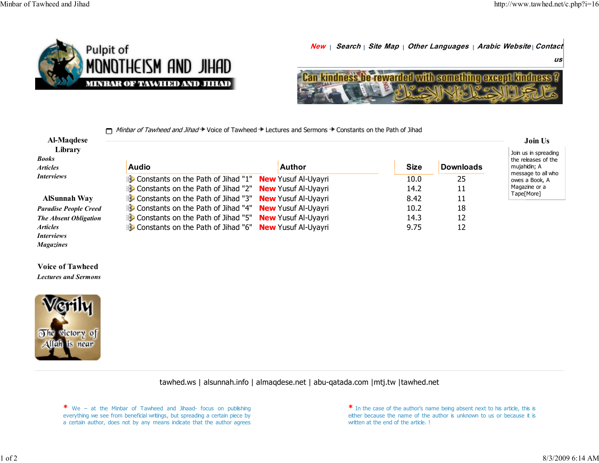us



New  $\mid$  Search  $\mid$  Site Map  $\mid$  Other Languages  $\mid$  Arabic Website $\mid$  Contact



## Minbar of Tawheed and Jihad  $\rightarrow$  Voice of Tawheed  $\rightarrow$  Lectures and Sermons  $\rightarrow$  Constants on the Path of Jihad

| <b>Al-Magdese</b>            |                                                                         |               |             |                  | <b>Join Us</b>                                                              |
|------------------------------|-------------------------------------------------------------------------|---------------|-------------|------------------|-----------------------------------------------------------------------------|
| Library<br><b>Books</b>      |                                                                         |               |             |                  | Join us in spreading                                                        |
| <i><b>Articles</b></i>       | <b>Audio</b>                                                            | <b>Author</b> | <b>Size</b> | <b>Downloads</b> | the releases of the<br>mujahidin; A<br>message to all who<br>owes a Book, A |
| <i>Interviews</i>            | Constants on the Path of Jihad "1" New Yusuf Al-Uyayri                  |               | 10.0        | 25               |                                                                             |
|                              | Constants on the Path of Jihad "2" New Yusuf Al-Uyayri                  |               | 14.2        | 11               | Magazine or a                                                               |
| <b>AlSunnah Way</b>          | Constants on the Path of Jihad "3" New Yusuf Al-Uyayri                  |               | 8.42        | 11               | Tape[More]                                                                  |
| <b>Paradise People Creed</b> | <b>ED</b> Constants on the Path of Jihad "4" <b>New</b> Yusuf Al-Uyayri |               | 10.2        | 18               |                                                                             |
| <b>The Absent Obligation</b> | <b>ED</b> Constants on the Path of Jihad "5" <b>New</b> Yusuf Al-Uyayri |               | 14.3        | 12               |                                                                             |
| <i><b>Articles</b></i>       | Constants on the Path of Jihad "6" New Yusuf Al-Uyayri                  |               | 9.75        | 12               |                                                                             |
| <i>Interviews</i>            |                                                                         |               |             |                  |                                                                             |

## Voice of TawheedLectures and Sermons

Magazines



tawhed.ws | alsunnah.info | almaqdese.net | abu-qatada.com |mtj.tw |tawhed.net

\* We – at the Minbar of Tawheed and Jihaad- focus on publishing everything we see from beneficial writings, but spreading a certain piece by a certain author, does not by any means indicate that the author agrees

\* In the case of the author's name being absent next to his article, this is either because the name of the author is unknown to us or because it iswritten at the end of the article. !

1 of 2